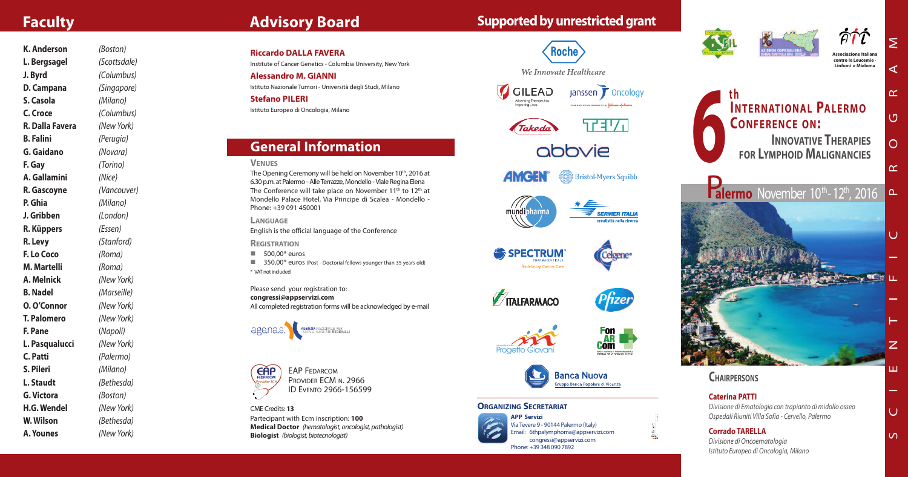**C a t e r i n a PAT T I** Divisione di Ematologia con trapianto di midollo osseo Ospedali Riuniti Villa Sofia - Cervello, Palermo

#### **C o r r a d o TA R E L L A** *Divisione di Oncoematologia* Istituto Europeo di Oncologia, Milano

**A s s o c i a z i o n e I t a l i a n a c o n t r o l e L e u c e m i e - L i n f o m i e M i e l o m a**

### **INTERNATIONAL PALERMO CONFERENCE ON: 6 t h INNOVATIVE THERAPIES**

### **FOR LYMPHOID MALIGNANCIES**

# Palermo November 10<sup>th</sup>-12<sup>th</sup>, 2016

### **CHAIRPERSONS**

**Riccardo DALLA FAVERA** Institute of Cancer Genetics - Columbia University, New York **Alessandro M. GIANNI** Istituto Nazionale Tumori - Università degli Studi, Milano **S t e f a n o P I L E R I**

Istituto Europeo di Oncologia, Milano

### **General Information**

#### $V$ **ENUES**

The Opening Ceremony will be held on November 10th, 2016 at 6.30 p.m. at Palermo - Alle Terrazze, Mondello - Viale Regina Elena The Conference will take place on November 11<sup>th</sup> to 12<sup>th</sup> at Mondello Palace Hotel, Via Principe di Scalea - Mondello -Phone: +39 091 450001

LANGUAGE English is the official language of the Conference

**REGISTRATION** 

 $\Box$  500,00\* euros

**1350,00\*** euros (Post - Doctorial fellows younger than 35 years old) \* VAT not included

Please send your registration to: congressi@appservizi.com All completed registration forms will be acknowledged by e-mail





EAP FEDARCOM Provider ECM N. 2966 ID EVENTO 2966-156599

CME Credits: 13 Partecipant with Ecm inscription: 100 Medical Doctor (hematologist, oncologist, pathologist) **Biologist** (biologist, biotecnologist)













| <b>K. Anderson</b>     | (Boston)     |
|------------------------|--------------|
| L. Bergsagel           | (Scottsdale) |
| J. Byrd                | (Columbus)   |
| D. Campana             | (Singapore)  |
| S. Casola              | (Milano)     |
| C. Croce               | (Columbus)   |
| <b>R. Dalla Favera</b> | (New York)   |
| <b>B.</b> Falini       | (Perugia)    |
| <b>G.</b> Gaidano      | (Novara)     |
| F. Gay                 | (Torino)     |
| A. Gallamini           | (Nice)       |
| R. Gascoyne            | (Vancouver)  |
| P. Ghia                | (Milano)     |
| J. Gribben             | (London)     |
| R. Küppers             | (Essen)      |
| R. Levy                | (Stanford)   |
| F. Lo Coco             | (Roma)       |
| <b>M. Martelli</b>     | (Roma)       |
| A. Melnick             | (New York)   |
| <b>B. Nadel</b>        | (Marseille)  |
| <b>O. O'Connor</b>     | (New York)   |
| <b>T. Palomero</b>     | (New York)   |
| F. Pane                | (Napoli)     |
| L. Pasqualucci         | (New York)   |
| <b>C. Patti</b>        | (Palermo)    |
| S. Pileri              | (Milano)     |
| L. Staudt              | (Bethesda)   |
| <b>G. Victora</b>      | (Boston)     |
| <b>H.G. Wendel</b>     | (New York)   |
| W. Wilson              | (Bethesda)   |
| A. Younes              | (New York)   |

## **Advisory Board**

### **F a c u l t y**